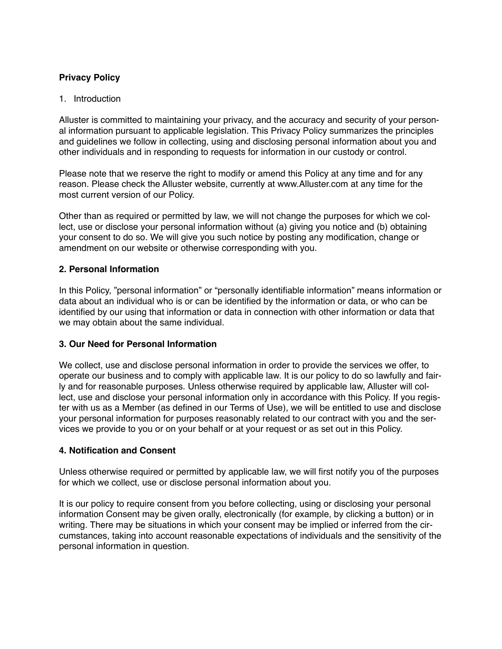# **Privacy Policy**

## 1. Introduction

Alluster is committed to maintaining your privacy, and the accuracy and security of your personal information pursuant to applicable legislation. This Privacy Policy summarizes the principles and guidelines we follow in collecting, using and disclosing personal information about you and other individuals and in responding to requests for information in our custody or control.

Please note that we reserve the right to modify or amend this Policy at any time and for any reason. Please check the Alluster website, currently at www.Alluster.com at any time for the most current version of our Policy.

Other than as required or permitted by law, we will not change the purposes for which we collect, use or disclose your personal information without (a) giving you notice and (b) obtaining your consent to do so. We will give you such notice by posting any modification, change or amendment on our website or otherwise corresponding with you.

### **2. Personal Information**

In this Policy, "personal information" or "personally identifiable information" means information or data about an individual who is or can be identified by the information or data, or who can be identified by our using that information or data in connection with other information or data that we may obtain about the same individual.

## **3. Our Need for Personal Information**

We collect, use and disclose personal information in order to provide the services we offer, to operate our business and to comply with applicable law. It is our policy to do so lawfully and fairly and for reasonable purposes. Unless otherwise required by applicable law, Alluster will collect, use and disclose your personal information only in accordance with this Policy. If you register with us as a Member (as defined in our Terms of Use), we will be entitled to use and disclose your personal information for purposes reasonably related to our contract with you and the services we provide to you or on your behalf or at your request or as set out in this Policy.

### **4. Notification and Consent**

Unless otherwise required or permitted by applicable law, we will first notify you of the purposes for which we collect, use or disclose personal information about you.

It is our policy to require consent from you before collecting, using or disclosing your personal information Consent may be given orally, electronically (for example, by clicking a button) or in writing. There may be situations in which your consent may be implied or inferred from the circumstances, taking into account reasonable expectations of individuals and the sensitivity of the personal information in question.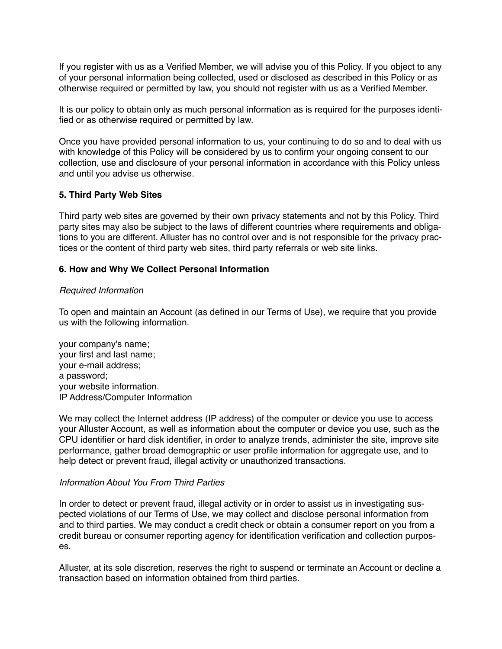If you register with us as a Verified Member, we will advise you of this Policy. If you object to any of your personal information being collected, used or disclosed as described in this Policy or as otherwise required or permitted by law, you should not register with us as a Verified Member.

It is our policy to obtain only as much personal information as is required for the purposes identified or as otherwise required or permitted by law.

Once you have provided personal information to us, your continuing to do so and to deal with us with knowledge of this Policy will be considered by us to confirm your ongoing consent to our collection, use and disclosure of your personal information in accordance with this Policy unless and until you advise us otherwise.

### **5. Third Party Web Sites**

Third party web sites are governed by their own privacy statements and not by this Policy. Third party sites may also be subject to the laws of different countries where requirements and obligations to you are different. Alluster has no control over and is not responsible for the privacy practices or the content of third party web sites, third party referrals or web site links.

#### **6. How and Why We Collect Personal Information**

#### *Required Information*

To open and maintain an Account (as defined in our Terms of Use), we require that you provide us with the following information.

your company's name; your first and last name; your e-mail address; a password; your website information. IP Address/Computer Information

We may collect the Internet address (IP address) of the computer or device you use to access your Alluster Account, as well as information about the computer or device you use, such as the CPU identifier or hard disk identifier, in order to analyze trends, administer the site, improve site performance, gather broad demographic or user profile information for aggregate use, and to help detect or prevent fraud, illegal activity or unauthorized transactions.

### *Information About You From Third Parties*

In order to detect or prevent fraud, illegal activity or in order to assist us in investigating suspected violations of our Terms of Use, we may collect and disclose personal information from and to third parties. We may conduct a credit check or obtain a consumer report on you from a credit bureau or consumer reporting agency for identification verification and collection purposes.

Alluster, at its sole discretion, reserves the right to suspend or terminate an Account or decline a transaction based on information obtained from third parties.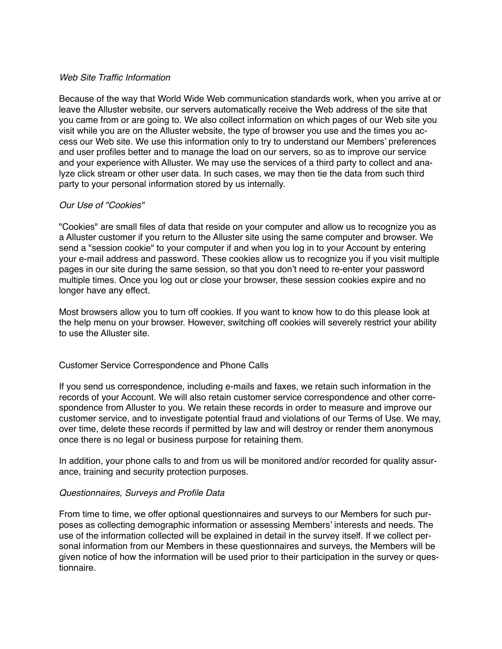### *Web Site Traffic Information*

Because of the way that World Wide Web communication standards work, when you arrive at or leave the Alluster website, our servers automatically receive the Web address of the site that you came from or are going to. We also collect information on which pages of our Web site you visit while you are on the Alluster website, the type of browser you use and the times you access our Web site. We use this information only to try to understand our Members' preferences and user profiles better and to manage the load on our servers, so as to improve our service and your experience with Alluster. We may use the services of a third party to collect and analyze click stream or other user data. In such cases, we may then tie the data from such third party to your personal information stored by us internally.

## *Our Use of "Cookies"*

"Cookies" are small files of data that reside on your computer and allow us to recognize you as a Alluster customer if you return to the Alluster site using the same computer and browser. We send a "session cookie" to your computer if and when you log in to your Account by entering your e-mail address and password. These cookies allow us to recognize you if you visit multiple pages in our site during the same session, so that you don't need to re-enter your password multiple times. Once you log out or close your browser, these session cookies expire and no longer have any effect.

Most browsers allow you to turn off cookies. If you want to know how to do this please look at the help menu on your browser. However, switching off cookies will severely restrict your ability to use the Alluster site.

## Customer Service Correspondence and Phone Calls

If you send us correspondence, including e-mails and faxes, we retain such information in the records of your Account. We will also retain customer service correspondence and other correspondence from Alluster to you. We retain these records in order to measure and improve our customer service, and to investigate potential fraud and violations of our Terms of Use. We may, over time, delete these records if permitted by law and will destroy or render them anonymous once there is no legal or business purpose for retaining them.

In addition, your phone calls to and from us will be monitored and/or recorded for quality assurance, training and security protection purposes.

### *Questionnaires, Surveys and Profile Data*

From time to time, we offer optional questionnaires and surveys to our Members for such purposes as collecting demographic information or assessing Members' interests and needs. The use of the information collected will be explained in detail in the survey itself. If we collect personal information from our Members in these questionnaires and surveys, the Members will be given notice of how the information will be used prior to their participation in the survey or questionnaire.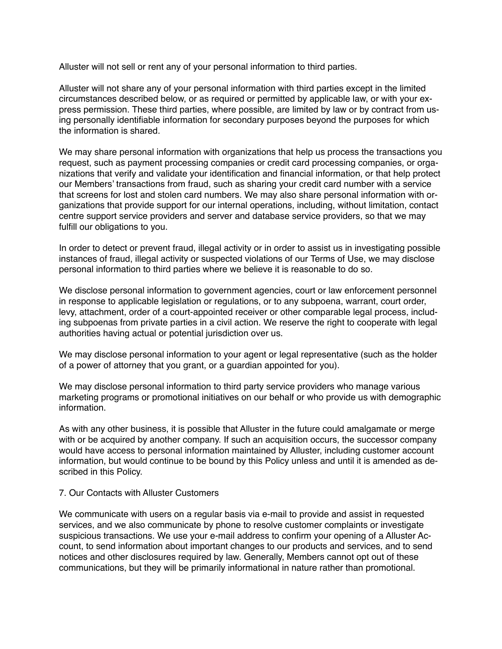Alluster will not sell or rent any of your personal information to third parties.

Alluster will not share any of your personal information with third parties except in the limited circumstances described below, or as required or permitted by applicable law, or with your express permission. These third parties, where possible, are limited by law or by contract from using personally identifiable information for secondary purposes beyond the purposes for which the information is shared.

We may share personal information with organizations that help us process the transactions you request, such as payment processing companies or credit card processing companies, or organizations that verify and validate your identification and financial information, or that help protect our Members' transactions from fraud, such as sharing your credit card number with a service that screens for lost and stolen card numbers. We may also share personal information with organizations that provide support for our internal operations, including, without limitation, contact centre support service providers and server and database service providers, so that we may fulfill our obligations to you.

In order to detect or prevent fraud, illegal activity or in order to assist us in investigating possible instances of fraud, illegal activity or suspected violations of our Terms of Use, we may disclose personal information to third parties where we believe it is reasonable to do so.

We disclose personal information to government agencies, court or law enforcement personnel in response to applicable legislation or regulations, or to any subpoena, warrant, court order, levy, attachment, order of a court-appointed receiver or other comparable legal process, including subpoenas from private parties in a civil action. We reserve the right to cooperate with legal authorities having actual or potential jurisdiction over us.

We may disclose personal information to your agent or legal representative (such as the holder of a power of attorney that you grant, or a guardian appointed for you).

We may disclose personal information to third party service providers who manage various marketing programs or promotional initiatives on our behalf or who provide us with demographic information.

As with any other business, it is possible that Alluster in the future could amalgamate or merge with or be acquired by another company. If such an acquisition occurs, the successor company would have access to personal information maintained by Alluster, including customer account information, but would continue to be bound by this Policy unless and until it is amended as described in this Policy.

### 7. Our Contacts with Alluster Customers

We communicate with users on a regular basis via e-mail to provide and assist in requested services, and we also communicate by phone to resolve customer complaints or investigate suspicious transactions. We use your e-mail address to confirm your opening of a Alluster Account, to send information about important changes to our products and services, and to send notices and other disclosures required by law. Generally, Members cannot opt out of these communications, but they will be primarily informational in nature rather than promotional.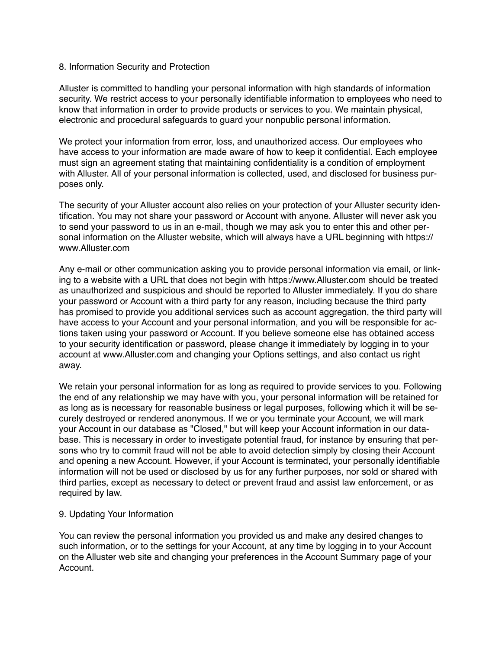### 8. Information Security and Protection

Alluster is committed to handling your personal information with high standards of information security. We restrict access to your personally identifiable information to employees who need to know that information in order to provide products or services to you. We maintain physical, electronic and procedural safeguards to guard your nonpublic personal information.

We protect your information from error, loss, and unauthorized access. Our employees who have access to your information are made aware of how to keep it confidential. Each employee must sign an agreement stating that maintaining confidentiality is a condition of employment with Alluster. All of your personal information is collected, used, and disclosed for business purposes only.

The security of your Alluster account also relies on your protection of your Alluster security identification. You may not share your password or Account with anyone. Alluster will never ask you to send your password to us in an e-mail, though we may ask you to enter this and other personal information on the Alluster website, which will always have a URL beginning with https:// www.Alluster.com

Any e-mail or other communication asking you to provide personal information via email, or linking to a website with a URL that does not begin with https://www.Alluster.com should be treated as unauthorized and suspicious and should be reported to Alluster immediately. If you do share your password or Account with a third party for any reason, including because the third party has promised to provide you additional services such as account aggregation, the third party will have access to your Account and your personal information, and you will be responsible for actions taken using your password or Account. If you believe someone else has obtained access to your security identification or password, please change it immediately by logging in to your account at www.Alluster.com and changing your Options settings, and also contact us right away.

We retain your personal information for as long as required to provide services to you. Following the end of any relationship we may have with you, your personal information will be retained for as long as is necessary for reasonable business or legal purposes, following which it will be securely destroyed or rendered anonymous. If we or you terminate your Account, we will mark your Account in our database as "Closed," but will keep your Account information in our database. This is necessary in order to investigate potential fraud, for instance by ensuring that persons who try to commit fraud will not be able to avoid detection simply by closing their Account and opening a new Account. However, if your Account is terminated, your personally identifiable information will not be used or disclosed by us for any further purposes, nor sold or shared with third parties, except as necessary to detect or prevent fraud and assist law enforcement, or as required by law.

### 9. Updating Your Information

You can review the personal information you provided us and make any desired changes to such information, or to the settings for your Account, at any time by logging in to your Account on the Alluster web site and changing your preferences in the Account Summary page of your Account.